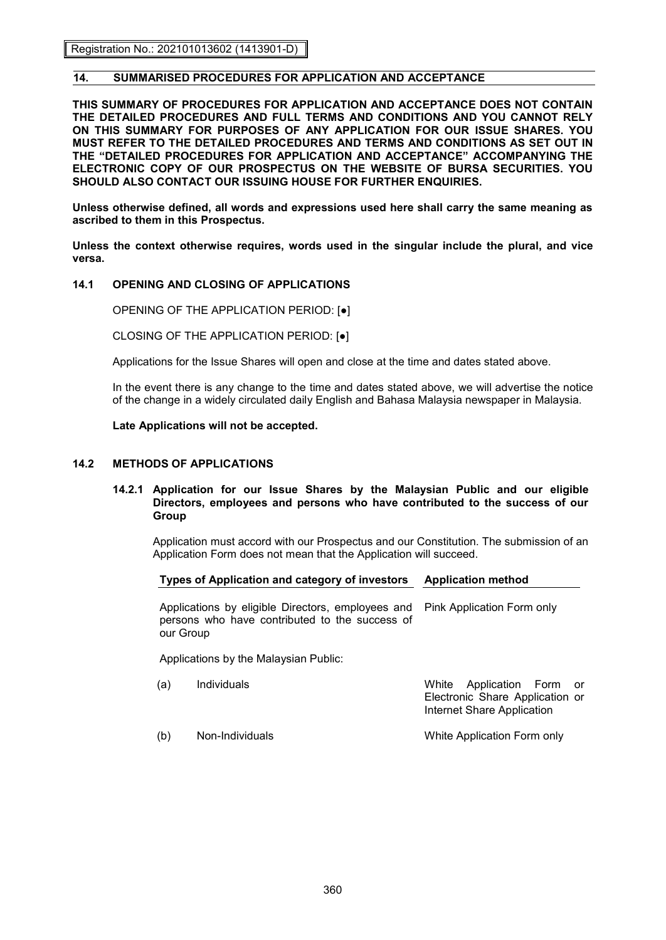Registration No.: 202101013602 (1413901-D)

# **14. SUMMARISED PROCEDURES FOR APPLICATION AND ACCEPTANCE**

**THIS SUMMARY OF PROCEDURES FOR APPLICATION AND ACCEPTANCE DOES NOT CONTAIN THE DETAILED PROCEDURES AND FULL TERMS AND CONDITIONS AND YOU CANNOT RELY ON THIS SUMMARY FOR PURPOSES OF ANY APPLICATION FOR OUR ISSUE SHARES. YOU MUST REFER TO THE DETAILED PROCEDURES AND TERMS AND CONDITIONS AS SET OUT IN THE "DETAILED PROCEDURES FOR APPLICATION AND ACCEPTANCE" ACCOMPANYING THE ELECTRONIC COPY OF OUR PROSPECTUS ON THE WEBSITE OF BURSA SECURITIES. YOU SHOULD ALSO CONTACT OUR ISSUING HOUSE FOR FURTHER ENQUIRIES.** 

**Unless otherwise defined, all words and expressions used here shall carry the same meaning as ascribed to them in this Prospectus.** 

**Unless the context otherwise requires, words used in the singular include the plural, and vice versa.** 

### **14.1 OPENING AND CLOSING OF APPLICATIONS**

OPENING OF THE APPLICATION PERIOD: [●]

CLOSING OF THE APPLICATION PERIOD: [●]

Applications for the Issue Shares will open and close at the time and dates stated above.

In the event there is any change to the time and dates stated above, we will advertise the notice of the change in a widely circulated daily English and Bahasa Malaysia newspaper in Malaysia.

**Late Applications will not be accepted.** 

### **14.2 METHODS OF APPLICATIONS**

#### **14.2.1 Application for our Issue Shares by the Malaysian Public and our eligible Directors, employees and persons who have contributed to the success of our Group**

Application must accord with our Prospectus and our Constitution. The submission of an Application Form does not mean that the Application will succeed.

#### **Types of Application and category of investors Application method**

Applications by eligible Directors, employees and persons who have contributed to the success of our Group Pink Application Form only

Applications by the Malaysian Public:

| (a) | Individuals     | White Application Form or<br>Electronic Share Application or<br>Internet Share Application |
|-----|-----------------|--------------------------------------------------------------------------------------------|
| (b) | Non-Individuals | White Application Form only                                                                |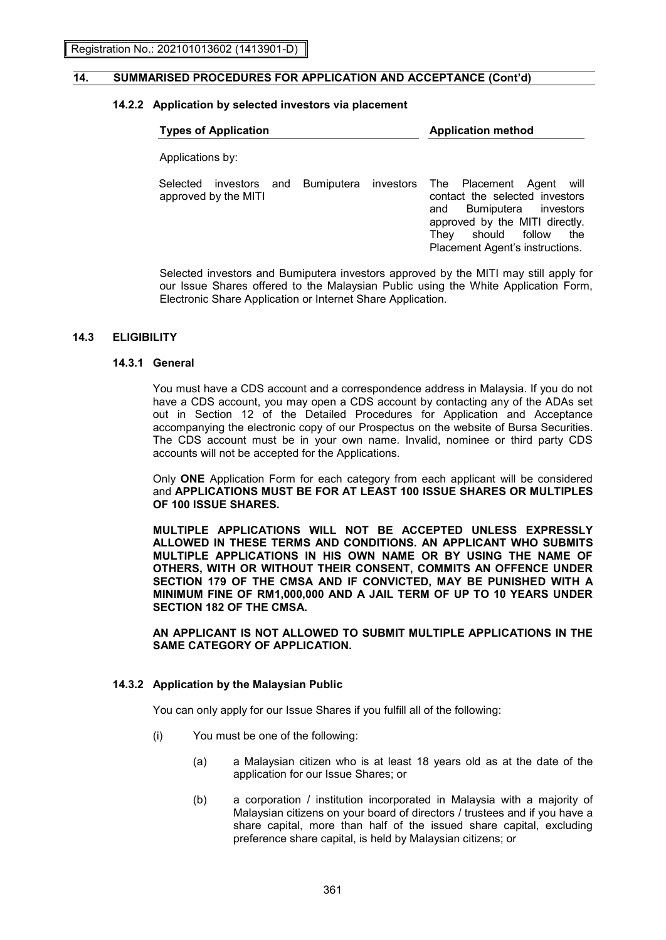# **14.2.2 Application by selected investors via placement**

| <b>Types of Application</b>      | <b>Application method</b> |  |                                                                                                                                                                                                                                |  |  |
|----------------------------------|---------------------------|--|--------------------------------------------------------------------------------------------------------------------------------------------------------------------------------------------------------------------------------|--|--|
| Applications by:                 |                           |  |                                                                                                                                                                                                                                |  |  |
| Selected<br>approved by the MITI |                           |  | investors and Bumiputera investors The Placement Agent will<br>contact the selected investors<br>Bumiputera investors<br>and<br>approved by the MITI directly.<br>They should follow<br>the<br>Placement Agent's instructions. |  |  |
|                                  |                           |  |                                                                                                                                                                                                                                |  |  |

Selected investors and Bumiputera investors approved by the MITI may still apply for our Issue Shares offered to the Malaysian Public using the White Application Form, Electronic Share Application or Internet Share Application.

### **14.3 ELIGIBILITY**

# **14.3.1 General**

You must have a CDS account and a correspondence address in Malaysia. If you do not have a CDS account, you may open a CDS account by contacting any of the ADAs set out in Section 12 of the Detailed Procedures for Application and Acceptance accompanying the electronic copy of our Prospectus on the website of Bursa Securities. The CDS account must be in your own name. Invalid, nominee or third party CDS accounts will not be accepted for the Applications.

Only **ONE** Application Form for each category from each applicant will be considered and **APPLICATIONS MUST BE FOR AT LEAST 100 ISSUE SHARES OR MULTIPLES OF 100 ISSUE SHARES.** 

**MULTIPLE APPLICATIONS WILL NOT BE ACCEPTED UNLESS EXPRESSLY ALLOWED IN THESE TERMS AND CONDITIONS. AN APPLICANT WHO SUBMITS MULTIPLE APPLICATIONS IN HIS OWN NAME OR BY USING THE NAME OF OTHERS, WITH OR WITHOUT THEIR CONSENT, COMMITS AN OFFENCE UNDER SECTION 179 OF THE CMSA AND IF CONVICTED, MAY BE PUNISHED WITH A MINIMUM FINE OF RM1,000,000 AND A JAIL TERM OF UP TO 10 YEARS UNDER SECTION 182 OF THE CMSA.** 

**AN APPLICANT IS NOT ALLOWED TO SUBMIT MULTIPLE APPLICATIONS IN THE SAME CATEGORY OF APPLICATION.** 

#### **14.3.2 Application by the Malaysian Public**

You can only apply for our Issue Shares if you fulfill all of the following:

- (i) You must be one of the following:
	- (a) a Malaysian citizen who is at least 18 years old as at the date of the application for our Issue Shares; or
	- (b) a corporation / institution incorporated in Malaysia with a majority of Malaysian citizens on your board of directors / trustees and if you have a share capital, more than half of the issued share capital, excluding preference share capital, is held by Malaysian citizens; or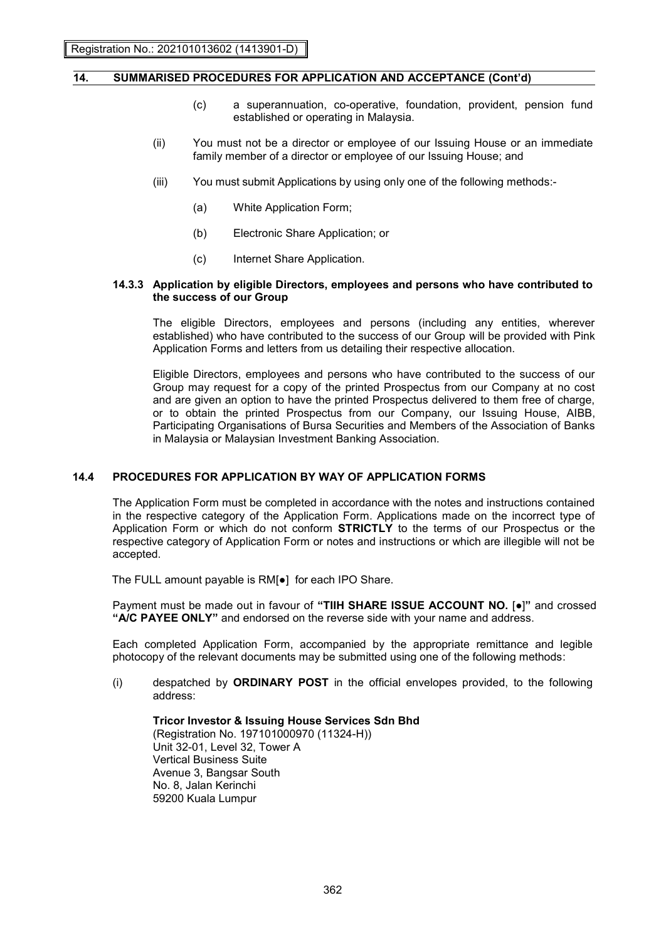- (c) a superannuation, co-operative, foundation, provident, pension fund established or operating in Malaysia.
- (ii) You must not be a director or employee of our Issuing House or an immediate family member of a director or employee of our Issuing House; and
- (iii) You must submit Applications by using only one of the following methods:-
	- (a) White Application Form;
	- (b) Electronic Share Application; or
	- (c) Internet Share Application.

#### **14.3.3 Application by eligible Directors, employees and persons who have contributed to the success of our Group**

The eligible Directors, employees and persons (including any entities, wherever established) who have contributed to the success of our Group will be provided with Pink Application Forms and letters from us detailing their respective allocation.

Eligible Directors, employees and persons who have contributed to the success of our Group may request for a copy of the printed Prospectus from our Company at no cost and are given an option to have the printed Prospectus delivered to them free of charge, or to obtain the printed Prospectus from our Company, our Issuing House, AIBB, Participating Organisations of Bursa Securities and Members of the Association of Banks in Malaysia or Malaysian Investment Banking Association.

#### **14.4 PROCEDURES FOR APPLICATION BY WAY OF APPLICATION FORMS**

The Application Form must be completed in accordance with the notes and instructions contained in the respective category of the Application Form. Applications made on the incorrect type of Application Form or which do not conform **STRICTLY** to the terms of our Prospectus or the respective category of Application Form or notes and instructions or which are illegible will not be accepted.

The FULL amount payable is RM[●] for each IPO Share.

Payment must be made out in favour of **"TIIH SHARE ISSUE ACCOUNT NO.** [●]**"** and crossed **"A/C PAYEE ONLY"** and endorsed on the reverse side with your name and address.

 Each completed Application Form, accompanied by the appropriate remittance and legible photocopy of the relevant documents may be submitted using one of the following methods:

(i) despatched by **ORDINARY POST** in the official envelopes provided, to the following address:

**Tricor Investor & Issuing House Services Sdn Bhd**  (Registration No. 197101000970 (11324-H)) Unit 32-01, Level 32, Tower A Vertical Business Suite Avenue 3, Bangsar South No. 8, Jalan Kerinchi 59200 Kuala Lumpur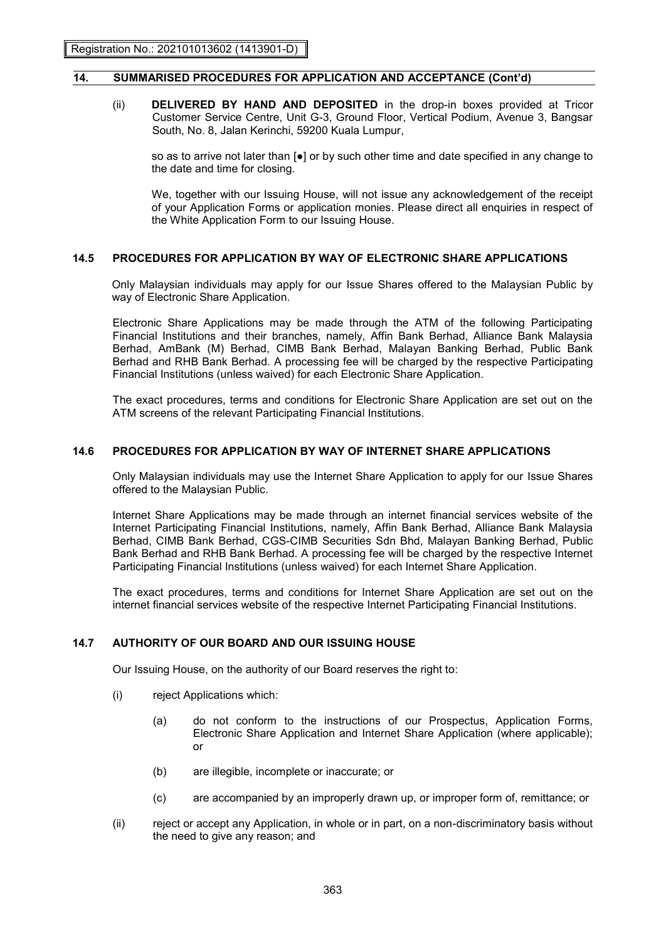(ii) **DELIVERED BY HAND AND DEPOSITED** in the drop-in boxes provided at Tricor Customer Service Centre, Unit G-3, Ground Floor, Vertical Podium, Avenue 3, Bangsar South, No. 8, Jalan Kerinchi, 59200 Kuala Lumpur,

so as to arrive not later than  $\lceil \bullet \rceil$  or by such other time and date specified in any change to the date and time for closing.

We, together with our Issuing House, will not issue any acknowledgement of the receipt of your Application Forms or application monies. Please direct all enquiries in respect of the White Application Form to our Issuing House.

### **14.5 PROCEDURES FOR APPLICATION BY WAY OF ELECTRONIC SHARE APPLICATIONS**

Only Malaysian individuals may apply for our Issue Shares offered to the Malaysian Public by way of Electronic Share Application.

Electronic Share Applications may be made through the ATM of the following Participating Financial Institutions and their branches, namely, Affin Bank Berhad, Alliance Bank Malaysia Berhad, AmBank (M) Berhad, CIMB Bank Berhad, Malayan Banking Berhad, Public Bank Berhad and RHB Bank Berhad. A processing fee will be charged by the respective Participating Financial Institutions (unless waived) for each Electronic Share Application.

The exact procedures, terms and conditions for Electronic Share Application are set out on the ATM screens of the relevant Participating Financial Institutions.

### **14.6 PROCEDURES FOR APPLICATION BY WAY OF INTERNET SHARE APPLICATIONS**

Only Malaysian individuals may use the Internet Share Application to apply for our Issue Shares offered to the Malaysian Public.

Internet Share Applications may be made through an internet financial services website of the Internet Participating Financial Institutions, namely, Affin Bank Berhad, Alliance Bank Malaysia Berhad, CIMB Bank Berhad, CGS-CIMB Securities Sdn Bhd, Malayan Banking Berhad, Public Bank Berhad and RHB Bank Berhad. A processing fee will be charged by the respective Internet Participating Financial Institutions (unless waived) for each Internet Share Application.

The exact procedures, terms and conditions for Internet Share Application are set out on the internet financial services website of the respective Internet Participating Financial Institutions.

# **14.7 AUTHORITY OF OUR BOARD AND OUR ISSUING HOUSE**

Our Issuing House, on the authority of our Board reserves the right to:

- (i) reject Applications which:
	- (a) do not conform to the instructions of our Prospectus, Application Forms, Electronic Share Application and Internet Share Application (where applicable); or
	- (b) are illegible, incomplete or inaccurate; or
	- (c) are accompanied by an improperly drawn up, or improper form of, remittance; or
- (ii) reject or accept any Application, in whole or in part, on a non-discriminatory basis without the need to give any reason; and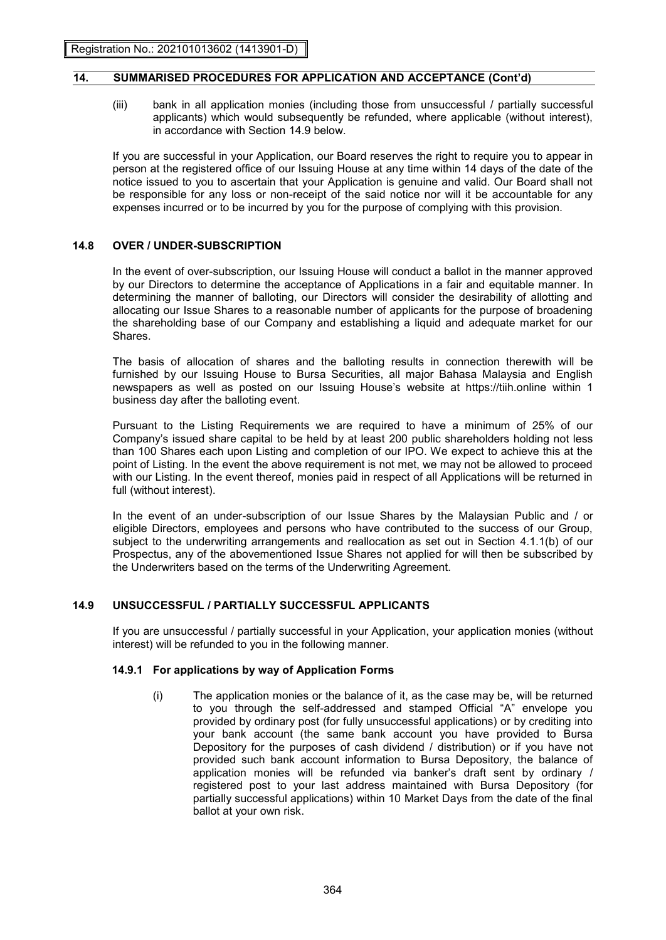(iii) bank in all application monies (including those from unsuccessful / partially successful applicants) which would subsequently be refunded, where applicable (without interest), in accordance with Section 14.9 below.

 If you are successful in your Application, our Board reserves the right to require you to appear in person at the registered office of our Issuing House at any time within 14 days of the date of the notice issued to you to ascertain that your Application is genuine and valid. Our Board shall not be responsible for any loss or non-receipt of the said notice nor will it be accountable for any expenses incurred or to be incurred by you for the purpose of complying with this provision.

### **14.8 OVER / UNDER-SUBSCRIPTION**

In the event of over-subscription, our Issuing House will conduct a ballot in the manner approved by our Directors to determine the acceptance of Applications in a fair and equitable manner. In determining the manner of balloting, our Directors will consider the desirability of allotting and allocating our Issue Shares to a reasonable number of applicants for the purpose of broadening the shareholding base of our Company and establishing a liquid and adequate market for our Shares.

 The basis of allocation of shares and the balloting results in connection therewith will be furnished by our Issuing House to Bursa Securities, all major Bahasa Malaysia and English newspapers as well as posted on our Issuing House's website at https://tiih.online within 1 business day after the balloting event.

 Pursuant to the Listing Requirements we are required to have a minimum of 25% of our Company's issued share capital to be held by at least 200 public shareholders holding not less than 100 Shares each upon Listing and completion of our IPO. We expect to achieve this at the point of Listing. In the event the above requirement is not met, we may not be allowed to proceed with our Listing. In the event thereof, monies paid in respect of all Applications will be returned in full (without interest).

 In the event of an under-subscription of our Issue Shares by the Malaysian Public and / or eligible Directors, employees and persons who have contributed to the success of our Group, subject to the underwriting arrangements and reallocation as set out in Section 4.1.1(b) of our Prospectus, any of the abovementioned Issue Shares not applied for will then be subscribed by the Underwriters based on the terms of the Underwriting Agreement.

# **14.9 UNSUCCESSFUL / PARTIALLY SUCCESSFUL APPLICANTS**

 If you are unsuccessful / partially successful in your Application, your application monies (without interest) will be refunded to you in the following manner.

#### **14.9.1 For applications by way of Application Forms**

(i) The application monies or the balance of it, as the case may be, will be returned to you through the self-addressed and stamped Official "A" envelope you provided by ordinary post (for fully unsuccessful applications) or by crediting into your bank account (the same bank account you have provided to Bursa Depository for the purposes of cash dividend / distribution) or if you have not provided such bank account information to Bursa Depository, the balance of application monies will be refunded via banker's draft sent by ordinary / registered post to your last address maintained with Bursa Depository (for partially successful applications) within 10 Market Days from the date of the final ballot at your own risk.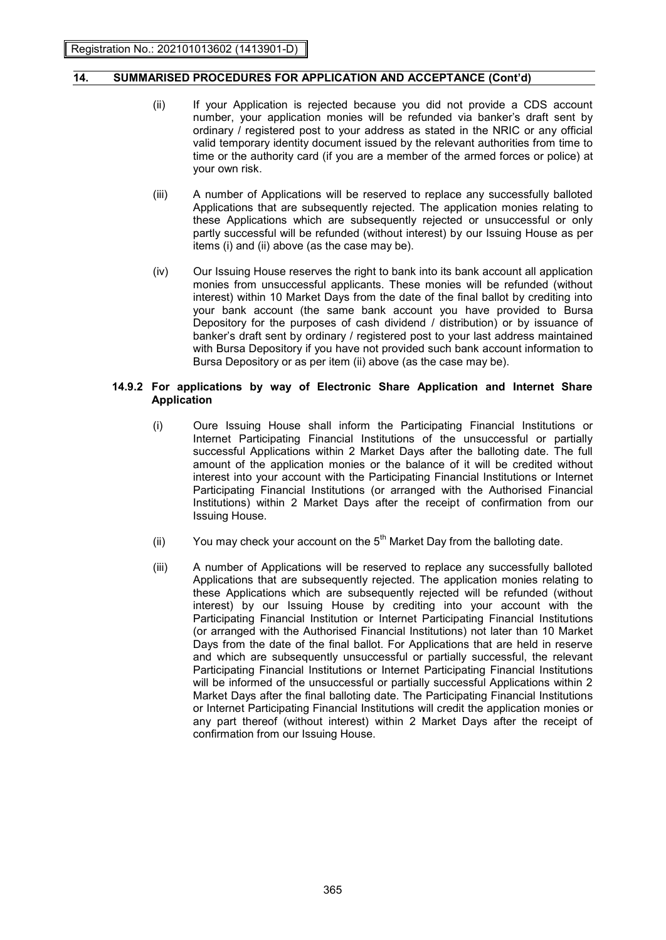- (ii) If your Application is rejected because you did not provide a CDS account number, your application monies will be refunded via banker's draft sent by ordinary / registered post to your address as stated in the NRIC or any official valid temporary identity document issued by the relevant authorities from time to time or the authority card (if you are a member of the armed forces or police) at your own risk.
- (iii) A number of Applications will be reserved to replace any successfully balloted Applications that are subsequently rejected. The application monies relating to these Applications which are subsequently rejected or unsuccessful or only partly successful will be refunded (without interest) by our Issuing House as per items (i) and (ii) above (as the case may be).
- (iv) Our Issuing House reserves the right to bank into its bank account all application monies from unsuccessful applicants. These monies will be refunded (without interest) within 10 Market Days from the date of the final ballot by crediting into your bank account (the same bank account you have provided to Bursa Depository for the purposes of cash dividend / distribution) or by issuance of banker's draft sent by ordinary / registered post to your last address maintained with Bursa Depository if you have not provided such bank account information to Bursa Depository or as per item (ii) above (as the case may be).

#### **14.9.2 For applications by way of Electronic Share Application and Internet Share Application**

- (i) Oure Issuing House shall inform the Participating Financial Institutions or Internet Participating Financial Institutions of the unsuccessful or partially successful Applications within 2 Market Days after the balloting date. The full amount of the application monies or the balance of it will be credited without interest into your account with the Participating Financial Institutions or Internet Participating Financial Institutions (or arranged with the Authorised Financial Institutions) within 2 Market Days after the receipt of confirmation from our Issuing House.
- (ii) You may check your account on the  $5<sup>th</sup>$  Market Day from the balloting date.
- (iii) A number of Applications will be reserved to replace any successfully balloted Applications that are subsequently rejected. The application monies relating to these Applications which are subsequently rejected will be refunded (without interest) by our Issuing House by crediting into your account with the Participating Financial Institution or Internet Participating Financial Institutions (or arranged with the Authorised Financial Institutions) not later than 10 Market Days from the date of the final ballot. For Applications that are held in reserve and which are subsequently unsuccessful or partially successful, the relevant Participating Financial Institutions or Internet Participating Financial Institutions will be informed of the unsuccessful or partially successful Applications within 2 Market Days after the final balloting date. The Participating Financial Institutions or Internet Participating Financial Institutions will credit the application monies or any part thereof (without interest) within 2 Market Days after the receipt of confirmation from our Issuing House.